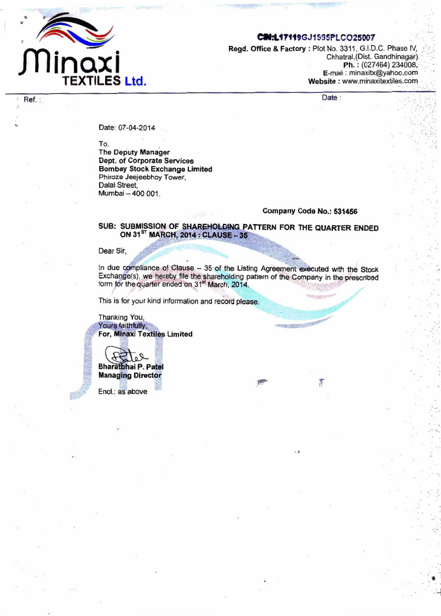

Ref.:

### CIN:L17119GJ1995PLCO25007

Regd. Office & Factory : Plot No. 3311, G.I.D.C. Phase IV, Chhatral, (Dist. Gandhinagar). Ph.: (027464) 234008. E-mail: minaxitx@yahoo.com Website: www.minaxitextiles.com

Date:

Date: 07-04-2014

To,

**The Deputy Manager** Dept. of Corporate Services **Bombay Stock Exchange Limited** Phiroze Jeejeebhoy Tower, Dalal Street. Mumbai - 400 001.

### Company Code No.: 531456

Ν

# SUB: SUBMISSION OF SHAREHOLDING PATTERN FOR THE QUARTER ENDED ON 31<sup>ST</sup> MARCH, 2014 : CLAUSE - 35

Dear Sir.

In due compliance of Clause - 35 of the Listing Agreement executed with the Stock Exchange(s), we hereby file the shareholding pattern of the Company in the prescribed<br>form for the quarter ended on 31<sup>st</sup> March, 2014.

This is for your kind information and record please.

Thanking You, Yours faithfully, For, Minaxi Textiles Limited

**Bharatbhai P. Patel** 

**Managing Director** 

Encl.: as above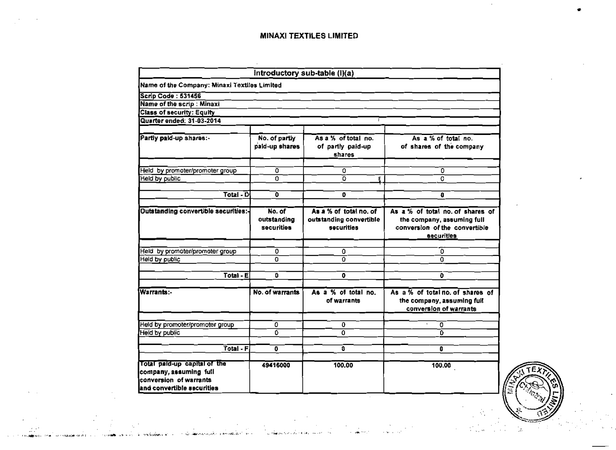$\mathcal{L}$ 

|                                                                                                                 |                                     | Introductory sub-table (I)(a)                                   |                                                                                                                      |
|-----------------------------------------------------------------------------------------------------------------|-------------------------------------|-----------------------------------------------------------------|----------------------------------------------------------------------------------------------------------------------|
| Name of the Company: Minaxi Textiles Limited                                                                    |                                     |                                                                 |                                                                                                                      |
| <b>Scrip Code: 531456</b>                                                                                       |                                     |                                                                 |                                                                                                                      |
| Name of the scrip : Minaxi                                                                                      |                                     |                                                                 |                                                                                                                      |
| <b>Class of security: Equity</b>                                                                                |                                     |                                                                 |                                                                                                                      |
| Quarter ended: 31-03-2014                                                                                       |                                     |                                                                 |                                                                                                                      |
| Partly paid-up shares:-                                                                                         | No. of partly<br>paid-up shares     | As a % of total no.<br>of partly paid-up<br>shares              | As a % of total no.<br>of shares of the company                                                                      |
| Held by promoter/promoter group                                                                                 | 0                                   | 0                                                               | 0                                                                                                                    |
| Held by public                                                                                                  | 0.                                  | ō                                                               | o                                                                                                                    |
| Total - $D$                                                                                                     |                                     | 0                                                               |                                                                                                                      |
|                                                                                                                 | 0                                   |                                                                 | 0                                                                                                                    |
| <b>Outstanding convertible securities:-</b>                                                                     | No. of<br>outstanding<br>securities | As a % of total no. of<br>outstanding convertible<br>securities | As a % of total no. of shares of<br>the company, assuming full<br>conversion of the convertible<br><b>securities</b> |
| Held by promoter/promoter group                                                                                 | 0                                   | 0                                                               | 0                                                                                                                    |
| Held by public                                                                                                  | 0                                   | 0.                                                              | $\Omega$                                                                                                             |
| $Total - E$                                                                                                     | D                                   | 0                                                               | $\mathbf{0}$                                                                                                         |
| Warrants:-                                                                                                      | No. of warrants                     | As a % of total no.<br>of warrants                              | As $a\%$ of total no. of shares of<br>the company, assuming full<br>conversion of warrants                           |
| Held by promoter/promoter group                                                                                 | ٥                                   | 0                                                               | 0                                                                                                                    |
| Held by public                                                                                                  | 0                                   | 0                                                               | 'n.                                                                                                                  |
| Total - F.                                                                                                      | $\overline{\mathbf{0}}$             | ā                                                               | o                                                                                                                    |
| Total paid-up capital of the<br>company, assuming full<br>conversion of warrants<br>land convertible securities | 49416000                            | 100.00                                                          | 100.00                                                                                                               |

, ,

and and a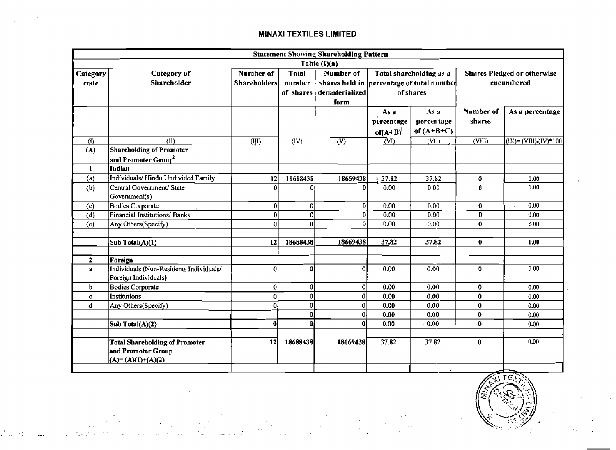|              | <b>Statement Showing Shareholding Pattern</b> |                     |              |                                           |              |                         |                                    |                          |  |  |
|--------------|-----------------------------------------------|---------------------|--------------|-------------------------------------------|--------------|-------------------------|------------------------------------|--------------------------|--|--|
|              |                                               |                     |              | Table (I)(a)                              |              |                         |                                    |                          |  |  |
| Category     | Category of                                   | Number of           | Total        | Number of                                 |              | Total shareholding as a | <b>Shares Pledged or otherwise</b> |                          |  |  |
| code         | Shareholder                                   | <b>Shareholders</b> | number       | shares held in percentage of total number |              |                         |                                    | encumbered               |  |  |
|              |                                               |                     | of shares    | dematerialized                            |              | of shares               |                                    |                          |  |  |
|              |                                               |                     |              | form                                      |              |                         |                                    |                          |  |  |
|              |                                               |                     |              |                                           | Asa          | As a                    | Number of                          | As a percentage          |  |  |
|              |                                               |                     |              |                                           | percentage   | percentage              | shares                             |                          |  |  |
|              |                                               |                     |              |                                           | of $(A+B)^l$ | of $(A+B+C)$            |                                    |                          |  |  |
| (1)          | (II)                                          | (III)               | (IV)         | $\overline{\text{W}}$                     | (VI)         | (VII)                   | (VIII)                             | $(IX) = (VIII)/(IV)*100$ |  |  |
| (A)          | <b>Shareholding of Promoter</b>               |                     |              |                                           |              |                         |                                    |                          |  |  |
|              | and Promoter $\mathbf{Group}^2$               |                     |              |                                           |              |                         |                                    |                          |  |  |
| $\mathbf{1}$ | Indian                                        |                     |              |                                           |              |                         |                                    |                          |  |  |
| (a)          | Individuals/ Hindu Undivided Family           | 12                  | 18688438     | 18669438                                  | 37.82        | 37.82                   | 0                                  | 0.00                     |  |  |
| (b)          | Central Government/ State                     | $\Omega$            | n            | Λ                                         | 0.00         | 0.00                    | $\mathbf{0}$                       | 0.00                     |  |  |
|              | Government(s)                                 |                     |              |                                           |              |                         |                                    |                          |  |  |
| (c)          | <b>Bodies Corporate</b>                       | 0                   | 0            | $\mathbf{0}$                              | 0.00         | 0.00                    | $\bf{0}$                           | 0.00                     |  |  |
| (d)          | Financial Institutions/ Banks                 | 0                   | 0            | $\Omega$                                  | 0.00         | 0.00                    | 0                                  | 0.00                     |  |  |
| (e)          | Any Others(Specify)                           | $\Omega$            | $\bf{0}$     | 0                                         | 0.00         | 0.00                    | 0                                  | 0.00                     |  |  |
|              |                                               |                     |              |                                           |              |                         |                                    |                          |  |  |
|              | Sub Total(A)(1)                               | 12                  | 18688438     | 18669438                                  | 37.82        | 37.82                   | 0                                  | 0.00                     |  |  |
|              |                                               |                     |              |                                           |              |                         |                                    |                          |  |  |
| $\mathbf{2}$ | Foreign                                       |                     |              |                                           |              |                         |                                    |                          |  |  |
| $\mathbf{a}$ | Individuals (Non-Residents Individuals/       | 0                   | nl           | $\Omega$                                  | 0.00         | 0.00                    | 0.                                 | 0.00                     |  |  |
|              | Foreign Individuals)                          |                     |              |                                           |              |                         |                                    |                          |  |  |
| b.           | <b>Bodies Corporate</b>                       | $\bf{0}$            | $\mathbf{0}$ | οl                                        | 0.00         | 0.00                    | $\pmb{0}$                          | 0.00                     |  |  |
| c            | <b>Institutions</b>                           | $\bf{0}$            | οl           | 0                                         | 0.00         | 0.00                    | 0                                  | 0.00                     |  |  |
| d            | Any Others(Specify)                           | $\bf{0}$            | 0            | 0                                         | 0.00         | 0.00                    | 0                                  | 0.00                     |  |  |
|              |                                               |                     | 0            | οł                                        | 0.00         | 0.00                    | 0                                  | 0.00                     |  |  |
|              | Sub Total(A)(2)                               | $\boldsymbol{0}$    | 0ł           | 0l                                        | 0.00         | 0.00                    | 0                                  | 0.00                     |  |  |
|              |                                               |                     |              |                                           |              |                         |                                    | 0.00                     |  |  |
|              | <b>Total Shareholding of Promoter</b>         | 12                  | 18688438     | 18669438                                  | 37.82        | 37.82                   | 0                                  |                          |  |  |
|              | and Promoter Group                            |                     |              |                                           |              |                         |                                    |                          |  |  |
|              | $(A)=(A)(1)+(A)(2)$                           |                     |              |                                           |              |                         |                                    |                          |  |  |

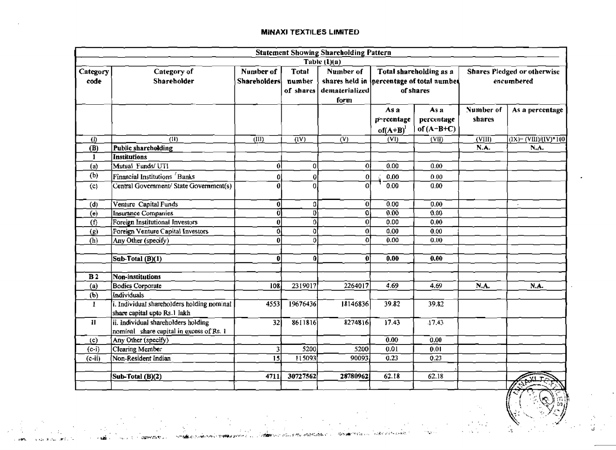|                            | <b>Statement Showing Shareholding Pattern</b> |                           |                  |                  |                                           |                         |           |                                    |  |  |  |
|----------------------------|-----------------------------------------------|---------------------------|------------------|------------------|-------------------------------------------|-------------------------|-----------|------------------------------------|--|--|--|
|                            |                                               |                           |                  | Table $(1)(a)$   |                                           |                         |           |                                    |  |  |  |
| Category                   | Category of                                   | Number of                 | <b>Total</b>     | Number of        |                                           | Total shareholding as a |           | <b>Shares Pledged or otherwise</b> |  |  |  |
| code                       | Shareholder                                   | <b>Shareholders</b>       | number           |                  | shares held in percentage of total number |                         |           | encumbered                         |  |  |  |
|                            |                                               |                           | of shares        | dematerialized   | of shares                                 |                         |           |                                    |  |  |  |
|                            |                                               |                           |                  | form             |                                           |                         |           |                                    |  |  |  |
|                            |                                               |                           |                  |                  | As a                                      | As a                    | Number of | As a percentage                    |  |  |  |
|                            |                                               |                           |                  |                  | percentage                                | percentage              | shares    |                                    |  |  |  |
|                            |                                               |                           |                  |                  | $of(A+B)^{1}$                             | of $(A-B+C)$            |           |                                    |  |  |  |
| $\left( \mathrm{I}\right)$ | (11)                                          | $\overline{(\text{III})}$ | $\overline{d}V$  | $\rm(V)$         | $\overline{\text{(VI)}}$                  | (VII)                   | (VIII)    | $(1X) = (VIII)/(IV)*100$           |  |  |  |
| <b>(B)</b>                 | Public shareholding                           |                           |                  |                  |                                           |                         | N.A.      | N.A.                               |  |  |  |
| $\mathbf{1}$               | <b>Institutions</b>                           |                           |                  |                  |                                           |                         |           |                                    |  |  |  |
| (a)                        | Mutual Funds/UTI                              | 0                         | $\overline{0}$   | Οİ               | 0.00                                      | 0.00                    |           |                                    |  |  |  |
| (b)                        | Financial Institutions <sup>'</sup> Banks     | Ω                         | $\boldsymbol{0}$ | 0                | 0.00                                      | 0.00                    |           |                                    |  |  |  |
| (c)                        | Central Government/ State Government(s)       | Л                         | $\theta$         | Ó                | 0.00                                      | 0.00                    |           |                                    |  |  |  |
|                            |                                               |                           |                  |                  |                                           |                         |           |                                    |  |  |  |
| (d)                        | Venture Capital Funds                         | 0                         | o.               | $\bf{0}$         | 0.00                                      | 0.00                    |           |                                    |  |  |  |
| (e)                        | Insurance Companies                           | Ō                         | Đ.               | 0                | 0.00                                      | 0.00                    |           |                                    |  |  |  |
| (f)                        | Foreign Institutional Investors               | $\bf{0}$                  | $\overline{0}$   | 0                | 0.00                                      | 0.00                    |           |                                    |  |  |  |
| (g)                        | Foreign Venture Capital Investors             | 0                         | 0                | $\boldsymbol{0}$ | 0.00                                      | 0.00                    |           |                                    |  |  |  |
| (h)                        | Any Other (specify)                           | 0                         | ۵I               | $\Omega$         | 0.00                                      | 0.00                    |           |                                    |  |  |  |
|                            |                                               |                           |                  |                  |                                           |                         |           |                                    |  |  |  |
|                            | Sub-Total (B)(1)                              | 0                         | $\boldsymbol{0}$ | 0                | 0.00                                      | 0.00                    |           |                                    |  |  |  |
|                            |                                               |                           |                  |                  |                                           |                         |           |                                    |  |  |  |
| B <sub>2</sub>             | Non-institutions                              |                           |                  |                  |                                           |                         |           |                                    |  |  |  |
| (a)                        | <b>Bodies Corporate</b>                       | $10\overline{8}$          | 2319017          | 2264017          | 4.69                                      | 4,69                    | N.A.      | N.A.                               |  |  |  |
| (b)                        | Individuals                                   |                           |                  |                  |                                           |                         |           |                                    |  |  |  |
| $\bf{I}$                   | i. Individual shareholders holding nominal    | 4553                      | 19676436         | 18146836         | 39.82                                     | 39.82                   |           |                                    |  |  |  |
|                            | share capital upto Rs.1 lakh                  |                           |                  |                  |                                           |                         |           |                                    |  |  |  |
| $\mathbf{I}$               | ii. Individual shareholders holding           | 32                        | 8611816          | 8274816          | $\overline{17.43}$                        | $\overline{17.43}$      |           |                                    |  |  |  |
|                            | nominal share capital in excess of Rs. 1      |                           |                  |                  |                                           |                         |           |                                    |  |  |  |
| (c)                        | Any Other (specify)                           |                           |                  |                  | 0.00                                      | 0.00                    |           |                                    |  |  |  |
| $(c-i)$                    | <b>Clearing Member</b>                        | $\overline{\mathbf{3}}$   | 5200             | 5200             | 0.01                                      | 0.01                    |           |                                    |  |  |  |
| $(c-ii)$                   | Non-Resident Indian                           | $\overline{15}$           | 115093           | 90093            | 0.23                                      | 0.23                    |           |                                    |  |  |  |
|                            |                                               |                           |                  |                  |                                           |                         |           |                                    |  |  |  |
|                            | Sub-Total (B)(2)                              | 4711                      | 30727562         | 28780962         | 62.18                                     | 62.18                   |           |                                    |  |  |  |
|                            |                                               |                           |                  |                  |                                           |                         |           |                                    |  |  |  |

**ADEN DEL LENNO** 

 $\mathcal{L}(\mathcal{A})$ 

re be stor

 $\mathcal{L}$ 

**Maryol allegate engineer SUMMER CONTRACTORS INTO A DISTURBANCE** Agency of the CAMPA Research

不正式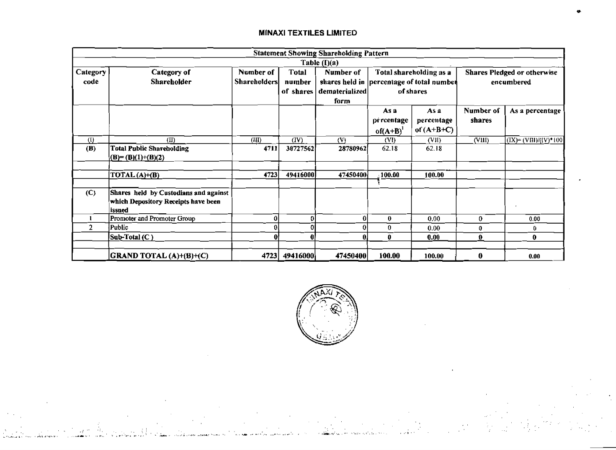|                     |                                                                                        |                                  |                        | <b>Statement Showing Shareholding Pattern</b> |                                  |                                                                                   |                     |                                                  |
|---------------------|----------------------------------------------------------------------------------------|----------------------------------|------------------------|-----------------------------------------------|----------------------------------|-----------------------------------------------------------------------------------|---------------------|--------------------------------------------------|
|                     |                                                                                        |                                  |                        | Table $(I)(a)$                                |                                  |                                                                                   |                     |                                                  |
| Category<br>code    | Category of<br>Shareholder                                                             | Number of<br><b>Shareholders</b> | <b>Total</b><br>number | Number of<br>of shares dematerialized<br>form |                                  | Total shareholding as a<br>shares held in percentage of total number<br>of shares |                     | <b>Shares Pledged or otherwise</b><br>encumbered |
|                     |                                                                                        |                                  |                        |                                               | As a<br>pércentage<br>$of (A+B)$ | As a<br>percentage<br>of $(A+B+C)$                                                | Number of<br>shares | As a percentage                                  |
| $\langle 0 \rangle$ | (II)                                                                                   | (III)                            | (IV)                   | (V)                                           | (VI)                             | (VII)                                                                             | (VIII)              | $(IX)=(VIII)/(IV)*100$                           |
| (B)                 | <b>Total Public Shareholding</b><br>$(B)=(B)(1)+(B)(2)$                                | 4711                             | 30727562               | 28780962                                      | 62.18                            | 62.18                                                                             |                     |                                                  |
|                     | $\overline{\text{DTAL}(A)} + (B)$                                                      | 4723                             | 49416000               | 47450400                                      | 100.00                           | 100.00                                                                            |                     |                                                  |
| (C)                 | Shares held by Custodians and against<br>which Depository Receipts have been<br>issued |                                  |                        |                                               |                                  |                                                                                   |                     | $\epsilon$                                       |
|                     | Promoter and Promoter Group                                                            |                                  | 01                     | 0                                             | 0                                | 0.00                                                                              | 0                   | 0.00                                             |
| 2                   | Public                                                                                 | 0.                               | 0                      |                                               | 0                                | 0.00                                                                              | 0                   | 0.                                               |
|                     | Sub-Total (C)                                                                          | 0                                | 0                      | 0                                             | 0                                | 0.00                                                                              | 0                   | 0                                                |
|                     | $ GRAND\, TOTAL(A)+ (B)+ (C) $                                                         | 4723                             | 49416000               | 47450400                                      | 100.00                           | 100.00                                                                            | 0                   | 0.00                                             |

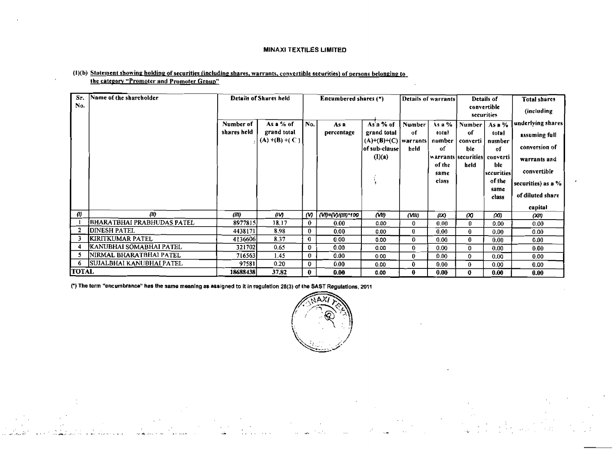### (1)(b) Statement showing holding of securities (including shares, warrants, convertible securities) of persons belonging to the category "Promoter and Promoter Group"

| Sr.<br>No.   | Name of the shareholder         |             | Details of Shares held          |          | Encumbered shares $(*)$ |                              | Details of warrants |                 | Details of<br>convertible |                                      | Total shares          |
|--------------|---------------------------------|-------------|---------------------------------|----------|-------------------------|------------------------------|---------------------|-----------------|---------------------------|--------------------------------------|-----------------------|
|              |                                 |             |                                 |          |                         |                              |                     |                 |                           | securities                           | (including            |
|              |                                 | Number of   | As a % of                       | No.      | As a                    | $As$ a % of                  | Number              | As a %          | Number                    | As B%                                | underlying shares     |
|              |                                 | shares held | grand total<br>$(A)$ +(B) +( C) |          | percentage              | grand total<br>$(A)+(B)+(C)$ | -of<br>  warrants   | total<br>number | -of<br>converti           | total<br>number                      | assuming full         |
|              |                                 |             |                                 |          |                         | of sub-clause                | held                | οf              | ble                       | of                                   | conversion of         |
|              |                                 |             |                                 |          |                         | (l)(a)                       |                     | of the          | held                      | warrants securities converti<br>hle. | warrants and          |
|              |                                 |             |                                 |          |                         |                              |                     | same            |                           | sccurities                           | convertible           |
|              |                                 |             |                                 |          |                         |                              |                     | class           |                           | of the                               | securities) as $a \%$ |
|              |                                 |             |                                 |          |                         |                              |                     |                 |                           | same<br>class                        | of diluted share      |
|              |                                 |             |                                 |          |                         |                              |                     |                 |                           |                                      | capital               |
| $\theta$     | (11)                            | (III)       | (IV)                            | $\omega$ | (VI)=(V)/(III)*100      | (WI)                         | (VIII)              | (X)             | $\infty$                  | $\alpha$                             | (00)                  |
|              | BHARATBHAI PRABHUDAS PATEL      | 8977815     | 18.17                           | $\bf{0}$ | 0.00                    | 0.00                         | 0.                  | 0.00            | 0                         | 0.00 <sub>1</sub>                    | 0.00                  |
| 2            | <b>IDINESH PATEL</b>            | 4438171     | 8.98                            | 0        | 0.00 <sub>1</sub>       | 0.00                         | 0.                  | 0.00            | 0                         | $0.00 -$                             | 0.00                  |
| 3            | <b>KIRITKUMAR PATEL</b>         | 4136606     | 8.37                            | 0.       | 0.00                    | 0.00                         | 0.                  | 0.00            | 0                         | 0.00                                 | 0.00                  |
| 4            | KANUBHAI SOMABHAI PATEL         | 321702      | 0.65                            | 0        | 0.00                    | 0.00                         | 0.                  | 0.00            | 0.                        | 0.00                                 | 0.00                  |
| 5            | NIRMAL BHARATBHAI PATEL         | 7165631     | 1.45                            | 0        | 0.00                    | 0.00                         | 0.                  | 0.00.           | 0.                        | 0.00                                 | 0.00                  |
| -6           | <b>SUJALBHAI KANUBHAI PATEL</b> | 97581       | 0.20                            | 0        | 0.00                    | 0.00                         | 0.                  | 0.00            | 0                         | 0.00                                 | 0.00                  |
| <b>TOTAL</b> |                                 | 18688438    | 37.82                           | 0        | 0.00                    | 0.00                         | 0.                  | 0.00            | 0                         | 0.00                                 | 0.00                  |

(\*) The term "encumbrance" has the same meaning as assigned to it in regulation 28(3) of the SAST Regulations, 2011

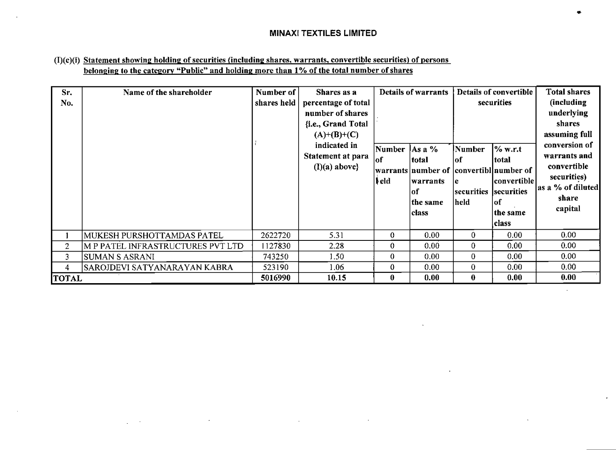# (I)(c)(i) Statement showing holding of securities (including shares, warrants, convertible securities) of persons **belonging to the category "Public" and holding more than 1% of the total number of shares**

 $\mathcal{L}$ 

| Sr.<br>No.     | Name of the shareholder           | Number of<br>shares held | Shares as a<br>percentage of total<br>number of shares<br>{i.e., Grand Total<br>$(A)+(B)+(C)$<br>indicated in<br>Statement at para<br>$(I)(a)$ above} | Number<br>lof<br> ‡eld | <b>Details of warrants</b><br>$As a \%$<br>total<br> warrants number of  convertibl number of<br>warrants<br>lof<br>the same<br>class | Number<br>lof<br>le.<br> securities  securities<br>held | Details of convertible<br>securities<br>$\%$ w.r.t<br> total<br> convertible <br>lof<br>the same<br> class | Total shares<br>(including<br>underlying<br>shares<br>assuming full<br>conversion of<br>warrants and<br>convertible<br>securities)<br>as a % of diluted<br>share<br>capital |
|----------------|-----------------------------------|--------------------------|-------------------------------------------------------------------------------------------------------------------------------------------------------|------------------------|---------------------------------------------------------------------------------------------------------------------------------------|---------------------------------------------------------|------------------------------------------------------------------------------------------------------------|-----------------------------------------------------------------------------------------------------------------------------------------------------------------------------|
|                | MUKESH PURSHOTTAMDAS PATEL        | 2622720                  | 5.31                                                                                                                                                  | 0                      | 0.00                                                                                                                                  | 0.                                                      | 0.00                                                                                                       | 0.00                                                                                                                                                                        |
| $\overline{2}$ | M P PATEL INFRASTRUCTURES PVT LTD | 1127830                  | 2.28                                                                                                                                                  | 0                      | 0.00                                                                                                                                  | 0                                                       | 0.00                                                                                                       | 0.00                                                                                                                                                                        |
| 3              | <b>SUMAN S ASRANI</b>             | 743250                   | 1.50                                                                                                                                                  | 0                      | 0.00                                                                                                                                  | 0.                                                      | 0.00                                                                                                       | 0.00                                                                                                                                                                        |
| 4.             | SAROJDEVI SATYANARAYAN KABRA      | 523190                   | 1.06                                                                                                                                                  | 0                      | 0.00                                                                                                                                  | 0                                                       | 0.00                                                                                                       | 0.00                                                                                                                                                                        |
| <b>TOTAL</b>   |                                   | 5016990                  | 10.15                                                                                                                                                 | $\bf{0}$               | 0.00                                                                                                                                  | $\bf{0}$                                                | 0.00                                                                                                       | 0.00                                                                                                                                                                        |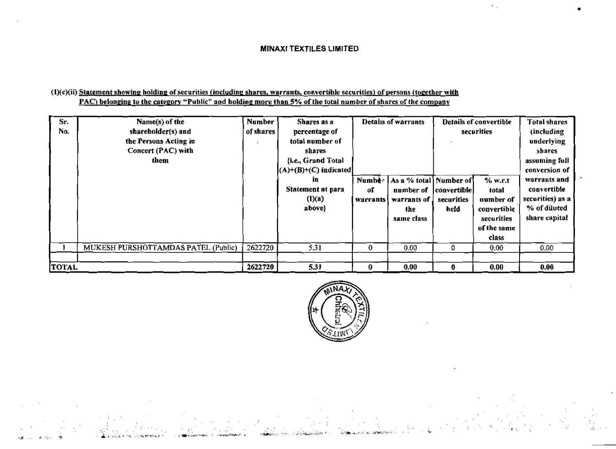# $(1)(c)(ii)$  **Statement showing holding of securities (including shares, warrants, convertible securities) of persons (together with PAC)** belonging to the category "Public" and holding more than 5% of the total number of shares of the company

أتهموه وكالمحاج وبرود

| Sr.<br>No.   | Name(s) of the<br>shareholder(s) and<br>the Persons Acting in<br>Concert (PAC) with<br>them | <b>Number</b><br>of shares | Shares as a<br>percentage of<br>total number of<br>shares<br>{i.e., Grand Total | Details of warrants       |                                                                           |                                     | Details of convertible<br>securities                                               | <b>Total shares</b><br>(including)<br>underlying<br><i>shares</i><br>assuming full                |
|--------------|---------------------------------------------------------------------------------------------|----------------------------|---------------------------------------------------------------------------------|---------------------------|---------------------------------------------------------------------------|-------------------------------------|------------------------------------------------------------------------------------|---------------------------------------------------------------------------------------------------|
|              |                                                                                             |                            | $(A)+(B)+(C)$ indicated<br>in.<br><b>Statement at para</b><br>(I)(a)<br>above}  | Number<br>of<br>warrants! | As a % total   Number of<br>number of<br>warrants of<br>the<br>same class | convertible  <br>securities<br>held | % w.r.t<br>total<br>number of<br>convertible<br>securities<br>of the same<br>class | conversion of<br>warrants and<br>convertible<br>securities) as a<br>% of diluted<br>share capital |
|              | MUKESH PURSHOTTAMDAS PATEL (Public)                                                         | 2622720                    | 5.31                                                                            | $\mathbf 0$               | 0.00                                                                      | 0                                   | 0.00                                                                               | 0.00                                                                                              |
| <b>TOTAL</b> |                                                                                             | 2622720                    | 5.31                                                                            | $\bf{0}$                  | 0.00                                                                      | 0                                   | 0.00                                                                               | 0.00                                                                                              |



**CASE A**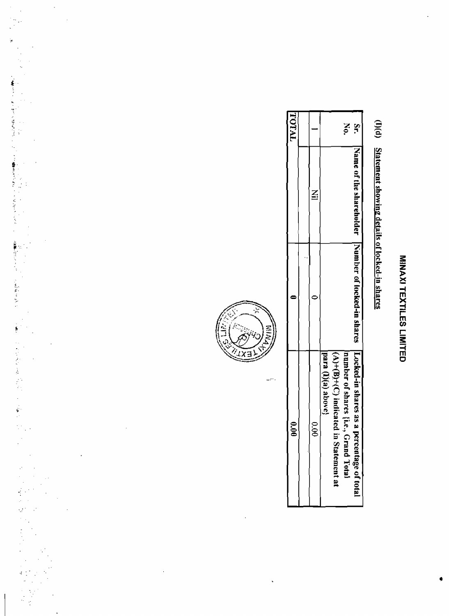# (I)(d) Statement showing details of locked-in shares

| <b>TATAL</b>  |               | Š<br>ă.                                                                                                                             |
|---------------|---------------|-------------------------------------------------------------------------------------------------------------------------------------|
|               |               |                                                                                                                                     |
|               |               | Name of the stratebolder Number of looked-in shares I Looked-in shares as a per                                                     |
| $\frac{6}{9}$ | $\frac{6}{3}$ | $(A)+(B)+(C)$ indicated in<br>inumber of shares {i.e., Gi<br>para (I)(a) above;<br>rcentage of total<br>"rand Total<br>Statement at |



بأسمي

k,

 $\ddot{\phantom{0}}$ 

 $\frac{1}{2}$ 

→ Part (数字) と、私の使いた場合の基本のなどになっては数字を引き取っているのです。 こうしょう アイ・コーヒー アイ・コーヒー しょうしょう こうしょう こうしょう こうしょう

ときのことに、「480mm Apple A のことに、この意味がないだった。」

 $\bar{\mathcal{A}}$ 

l,

 $\zeta^{\sharp}$ Ŷ,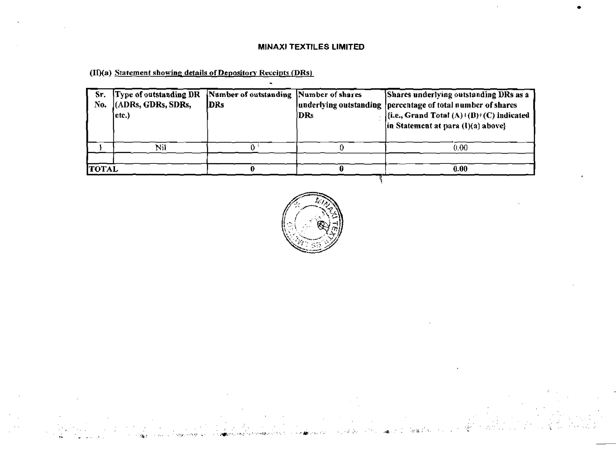# **MlNAXl f EXTILES LIMITED**

-

**(II)(a)** Statement showing details of Depository Receipts (DRs)

| Sr.<br>No.   | Type of outstanding DR<br>(ADRs, GDRs, SDRs,<br>etc.) | Number of outstanding Number of shares<br>DRs | DRs | Shares underlying outstanding DRs as a<br>underlying outstanding   percentage of total number of shares<br> {i.e., Grand Total $(A)$ + (B)+ (C) indicated<br>in Statement at para (I)(a) abovel |
|--------------|-------------------------------------------------------|-----------------------------------------------|-----|-------------------------------------------------------------------------------------------------------------------------------------------------------------------------------------------------|
|              | Nil                                                   |                                               |     | 0.00                                                                                                                                                                                            |
| <b>TOTAL</b> |                                                       |                                               |     | 0.00                                                                                                                                                                                            |



**Contractor**